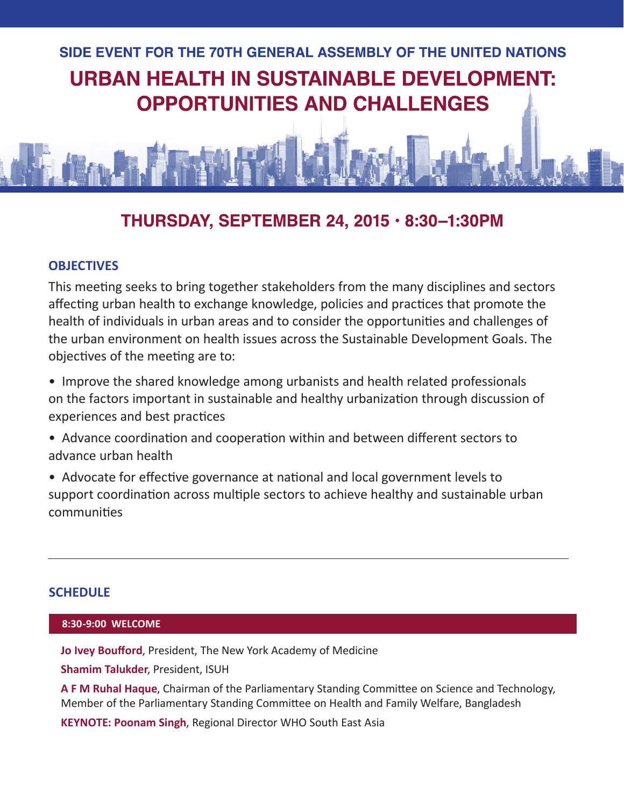

#### THURSDAY, SEPTEMBER 24, 2015 · 8:30-1:30PM

#### **OBJECTIVES**

This meeting seeks to bring together stakeholders from the many disciplines and sectors affecting urban health to exchange knowledge, policies and practices that promote the health of individuals in urban areas and to consider the opportunities and challenges of the urban environment on health issues across the Sustainable Development Goals. The objectives of the meeting are to:

• Improve the shared knowledge among urbanists and health related professionals on the factors important in sustainable and healthy urbanization through discussion of experiences and best practices

• Advance coordination and cooperation within and between different sectors to advance urban health

• Advocate for effective governance at national and local government levels to support coordination across multiple sectors to achieve healthy and sustainable urban communities

#### **SCHEDULE**

#### **8:30-9:00 WELCOME**

**Jo Ivey Boufford**, President, The New York Academy of Medicine

**Shamim Talukder**, President, ISUH

**A F M Ruhal Haque**, Chairman of the Parliamentary Standing Committee on Science and Technology, Member of the Parliamentary Standing Committee on Health and Family Welfare, Bangladesh

**KEYNOTE: Poonam Singh**, Regional Director WHO South East Asia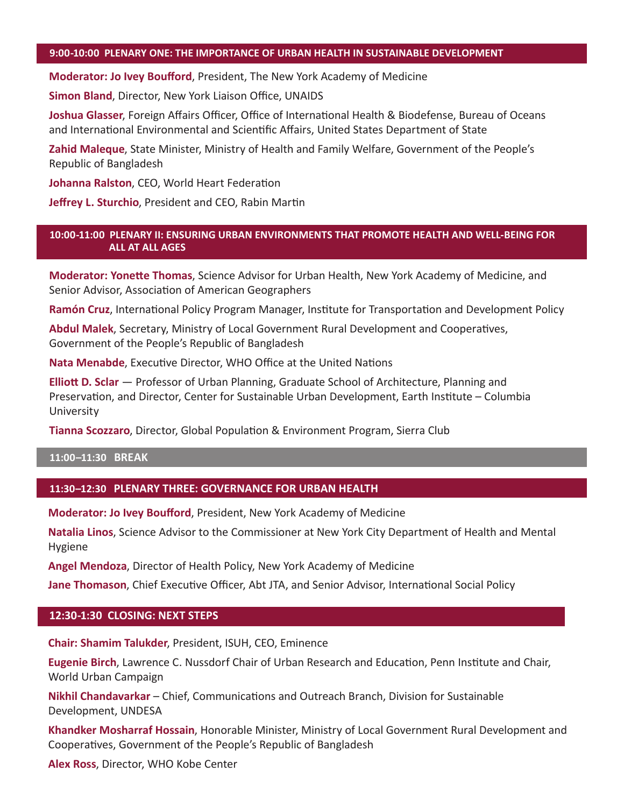#### **9:00-10:00 PLENARY ONE: THE IMPORTANCE OF URBAN HEALTH IN SUSTAINABLE DEVELOPMENT**

**Moderator: Jo Ivey Boufford**, President, The New York Academy of Medicine

**Simon Bland**, Director, New York Liaison Office, UNAIDS

**Joshua Glasser**, Foreign Affairs Officer, Office of International Health & Biodefense, Bureau of Oceans and International Environmental and Scientific Affairs, United States Department of State

**Zahid Maleque**, State Minister, Ministry of Health and Family Welfare, Government of the People's Republic of Bangladesh

**Johanna Ralston**, CEO, World Heart Federation

**Jeffrey L. Sturchio**, President and CEO, Rabin Martin

#### **10:00-11:00 PLENARY II: ENSURING URBAN ENVIRONMENTS THAT PROMOTE HEALTH AND WELL-BEING FOR ALL AT ALL AGES**

**Moderator: Yonette Thomas**, Science Advisor for Urban Health, New York Academy of Medicine, and Senior Advisor, Association of American Geographers

**Ramón Cruz**, International Policy Program Manager, Institute for Transportation and Development Policy

**Abdul Malek**, Secretary, Ministry of Local Government Rural Development and Cooperatives, Government of the People's Republic of Bangladesh

**Nata Menabde**, Executive Director, WHO Office at the United Nations

**Elliott D. Sclar** — Professor of Urban Planning, Graduate School of Architecture, Planning and Preservation, and Director, Center for Sustainable Urban Development, Earth Institute – Columbia University

**Tianna Scozzaro**, Director, Global Population & Environment Program, Sierra Club

#### **11:00–11:30 BREAK**

#### **11:30–12:30 PLENARY THREE: GOVERNANCE FOR URBAN HEALTH**

**Moderator: Jo Ivey Boufford**, President, New York Academy of Medicine

**Natalia Linos**, Science Advisor to the Commissioner at New York City Department of Health and Mental Hygiene

**Angel Mendoza**, Director of Health Policy, New York Academy of Medicine

**Jane Thomason**, Chief Executive Officer, Abt JTA, and Senior Advisor, International Social Policy

#### **12:30-1:30 CLOSING: NEXT STEPS**

**Chair: Shamim Talukder**, President, ISUH, CEO, Eminence

**Eugenie Birch**, Lawrence C. Nussdorf Chair of Urban Research and Education, Penn Institute and Chair, World Urban Campaign

**Nikhil Chandavarkar** – Chief, Communications and Outreach Branch, Division for Sustainable Development, UNDESA

**Khandker Mosharraf Hossain**, Honorable Minister, Ministry of Local Government Rural Development and Cooperatives, Government of the People's Republic of Bangladesh

**Alex Ross**, Director, WHO Kobe Center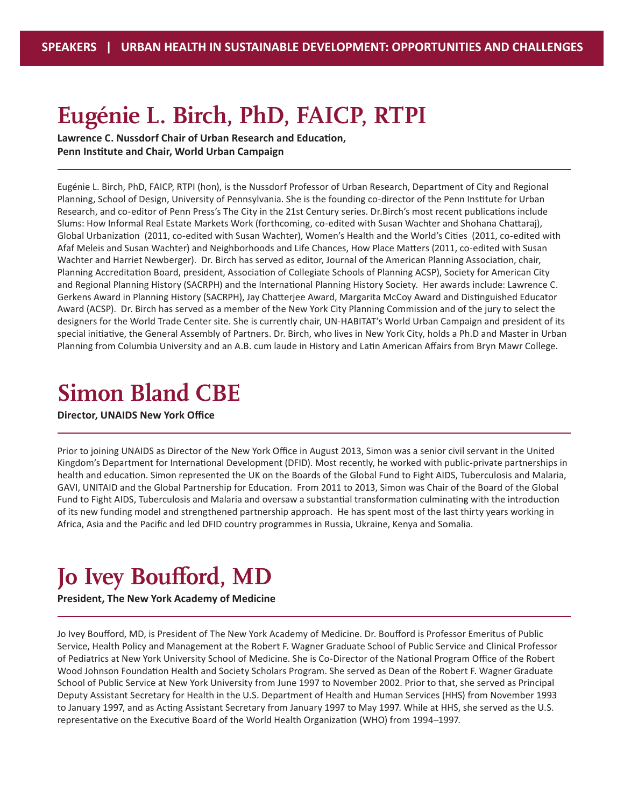### **Eugénie L. Birch, PhD, FAICP, RTPI**

**Lawrence C. Nussdorf Chair of Urban Research and Education, Penn Institute and Chair, World Urban Campaign**

Eugénie L. Birch, PhD, FAICP, RTPI (hon), is the Nussdorf Professor of Urban Research, Department of City and Regional Planning, School of Design, University of Pennsylvania. She is the founding co-director of the Penn Institute for Urban Research, and co-editor of Penn Press's The City in the 21st Century series. Dr.Birch's most recent publications include Slums: How Informal Real Estate Markets Work (forthcoming, co-edited with Susan Wachter and Shohana Chattaraj), Global Urbanization (2011, co-edited with Susan Wachter), Women's Health and the World's Cities (2011, co-edited with Afaf Meleis and Susan Wachter) and Neighborhoods and Life Chances, How Place Matters (2011, co-edited with Susan Wachter and Harriet Newberger). Dr. Birch has served as editor, Journal of the American Planning Association, chair, Planning Accreditation Board, president, Association of Collegiate Schools of Planning ACSP), Society for American City and Regional Planning History (SACRPH) and the International Planning History Society. Her awards include: Lawrence C. Gerkens Award in Planning History (SACRPH), Jay Chatterjee Award, Margarita McCoy Award and Distinguished Educator Award (ACSP). Dr. Birch has served as a member of the New York City Planning Commission and of the jury to select the designers for the World Trade Center site. She is currently chair, UN-HABITAT's World Urban Campaign and president of its special initiative, the General Assembly of Partners. Dr. Birch, who lives in New York City, holds a Ph.D and Master in Urban Planning from Columbia University and an A.B. cum laude in History and Latin American Affairs from Bryn Mawr College.

#### **Simon Bland CBE**

#### **Director, UNAIDS New York Office**

Prior to joining UNAIDS as Director of the New York Office in August 2013, Simon was a senior civil servant in the United Kingdom's Department for International Development (DFID). Most recently, he worked with public-private partnerships in health and education. Simon represented the UK on the Boards of the Global Fund to Fight AIDS, Tuberculosis and Malaria, GAVI, UNITAID and the Global Partnership for Education. From 2011 to 2013, Simon was Chair of the Board of the Global Fund to Fight AIDS, Tuberculosis and Malaria and oversaw a substantial transformation culminating with the introduction of its new funding model and strengthened partnership approach. He has spent most of the last thirty years working in Africa, Asia and the Pacific and led DFID country programmes in Russia, Ukraine, Kenya and Somalia.

#### **Jo Ivey Boufford, MD**

#### **President, The New York Academy of Medicine**

Jo Ivey Boufford, MD, is President of The New York Academy of Medicine. Dr. Boufford is Professor Emeritus of Public Service, Health Policy and Management at the Robert F. Wagner Graduate School of Public Service and Clinical Professor of Pediatrics at New York University School of Medicine. She is Co-Director of the National Program Office of the Robert Wood Johnson Foundation Health and Society Scholars Program. She served as Dean of the Robert F. Wagner Graduate School of Public Service at New York University from June 1997 to November 2002. Prior to that, she served as Principal Deputy Assistant Secretary for Health in the U.S. Department of Health and Human Services (HHS) from November 1993 to January 1997, and as Acting Assistant Secretary from January 1997 to May 1997. While at HHS, she served as the U.S. representative on the Executive Board of the World Health Organization (WHO) from 1994–1997.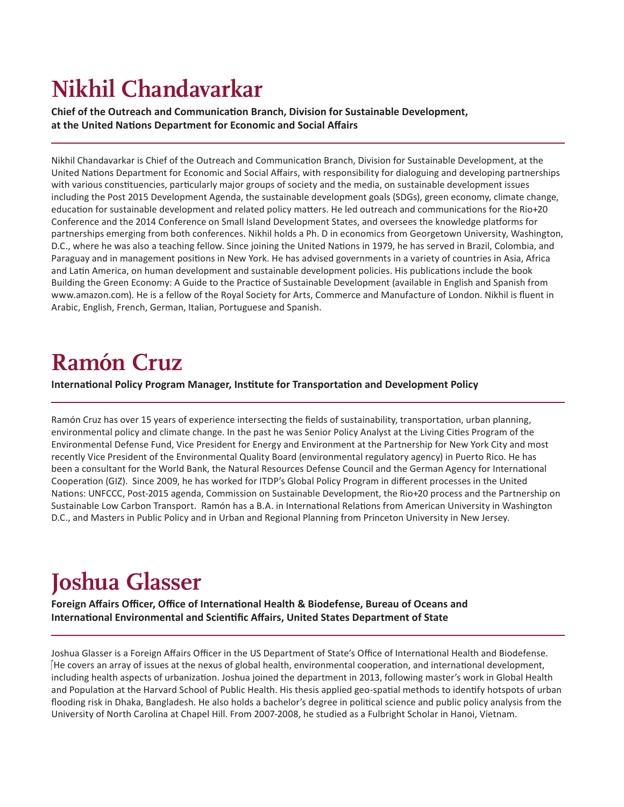# **Nikhil Chandavarkar**

**Chief of the Outreach and Communication Branch, Division for Sustainable Development, at the United Nations Department for Economic and Social Affairs**

Nikhil Chandavarkar is Chief of the Outreach and Communication Branch, Division for Sustainable Development, at the United Nations Department for Economic and Social Affairs, with responsibility for dialoguing and developing partnerships with various constituencies, particularly major groups of society and the media, on sustainable development issues including the Post 2015 Development Agenda, the sustainable development goals (SDGs), green economy, climate change, education for sustainable development and related policy matters. He led outreach and communications for the Rio+20 Conference and the 2014 Conference on Small Island Development States, and oversees the knowledge platforms for partnerships emerging from both conferences. Nikhil holds a Ph. D in economics from Georgetown University, Washington, D.C., where he was also a teaching fellow. Since joining the United Nations in 1979, he has served in Brazil, Colombia, and Paraguay and in management positions in New York. He has advised governments in a variety of countries in Asia, Africa and Latin America, on human development and sustainable development policies. His publications include the book Building the Green Economy: A Guide to the Practice of Sustainable Development (available in English and Spanish from www.amazon.com). He is a fellow of the Royal Society for Arts, Commerce and Manufacture of London. Nikhil is fluent in Arabic, English, French, German, Italian, Portuguese and Spanish.

### **Ramón Cruz**

**International Policy Program Manager, Institute for Transportation and Development Policy**

Ramón Cruz has over 15 years of experience intersecting the fields of sustainability, transportation, urban planning, environmental policy and climate change. In the past he was Senior Policy Analyst at the Living Cities Program of the Environmental Defense Fund, Vice President for Energy and Environment at the Partnership for New York City and most recently Vice President of the Environmental Quality Board (environmental regulatory agency) in Puerto Rico. He has been a consultant for the World Bank, the Natural Resources Defense Council and the German Agency for International Cooperation (GIZ). Since 2009, he has worked for ITDP's Global Policy Program in different processes in the United Nations: UNFCCC, Post-2015 agenda, Commission on Sustainable Development, the Rio+20 process and the Partnership on Sustainable Low Carbon Transport. Ramón has a B.A. in International Relations from American University in Washington D.C., and Masters in Public Policy and in Urban and Regional Planning from Princeton University in New Jersey.

## **Joshua Glasser**

**Foreign Affairs Officer, Office of International Health & Biodefense, Bureau of Oceans and International Environmental and Scientific Affairs, United States Department of State** 

Joshua Glasser is a Foreign Affairs Officer in the US Department of State's Office of International Health and Biodefense.  $\beta$ He covers an array of issues at the nexus of global health, environmental cooperation, and international development, including health aspects of urbanization. Joshua joined the department in 2013, following master's work in Global Health and Population at the Harvard School of Public Health. His thesis applied geo-spatial methods to identify hotspots of urban flooding risk in Dhaka, Bangladesh. He also holds a bachelor's degree in political science and public policy analysis from the University of North Carolina at Chapel Hill. From 2007-2008, he studied as a Fulbright Scholar in Hanoi, Vietnam.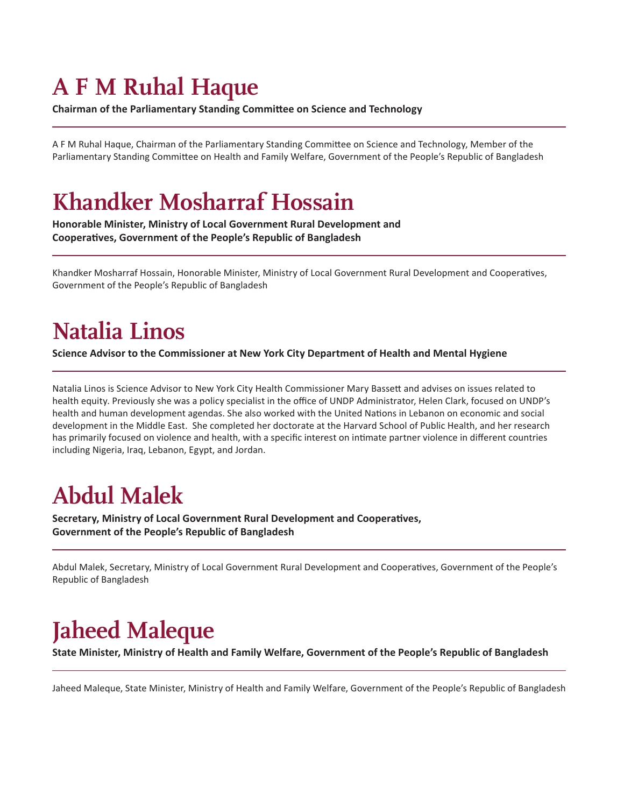### **A F M Ruhal Haque**

**Chairman of the Parliamentary Standing Committee on Science and Technology**

A F M Ruhal Haque, Chairman of the Parliamentary Standing Committee on Science and Technology, Member of the Parliamentary Standing Committee on Health and Family Welfare, Government of the People's Republic of Bangladesh

### **Khandker Mosharraf Hossain**

**Honorable Minister, Ministry of Local Government Rural Development and Cooperatives, Government of the People's Republic of Bangladesh**

Khandker Mosharraf Hossain, Honorable Minister, Ministry of Local Government Rural Development and Cooperatives, Government of the People's Republic of Bangladesh

## **Natalia Linos**

**Science Advisor to the Commissioner at New York City Department of Health and Mental Hygiene** 

Natalia Linos is Science Advisor to New York City Health Commissioner Mary Bassett and advises on issues related to health equity. Previously she was a policy specialist in the office of UNDP Administrator, Helen Clark, focused on UNDP's health and human development agendas. She also worked with the United Nations in Lebanon on economic and social development in the Middle East. She completed her doctorate at the Harvard School of Public Health, and her research has primarily focused on violence and health, with a specific interest on intimate partner violence in different countries including Nigeria, Iraq, Lebanon, Egypt, and Jordan.

# **Abdul Malek**

**Secretary, Ministry of Local Government Rural Development and Cooperatives, Government of the People's Republic of Bangladesh**

Abdul Malek, Secretary, Ministry of Local Government Rural Development and Cooperatives, Government of the People's Republic of Bangladesh

## **Jaheed Maleque**

**State Minister, Ministry of Health and Family Welfare, Government of the People's Republic of Bangladesh**

Jaheed Maleque, State Minister, Ministry of Health and Family Welfare, Government of the People's Republic of Bangladesh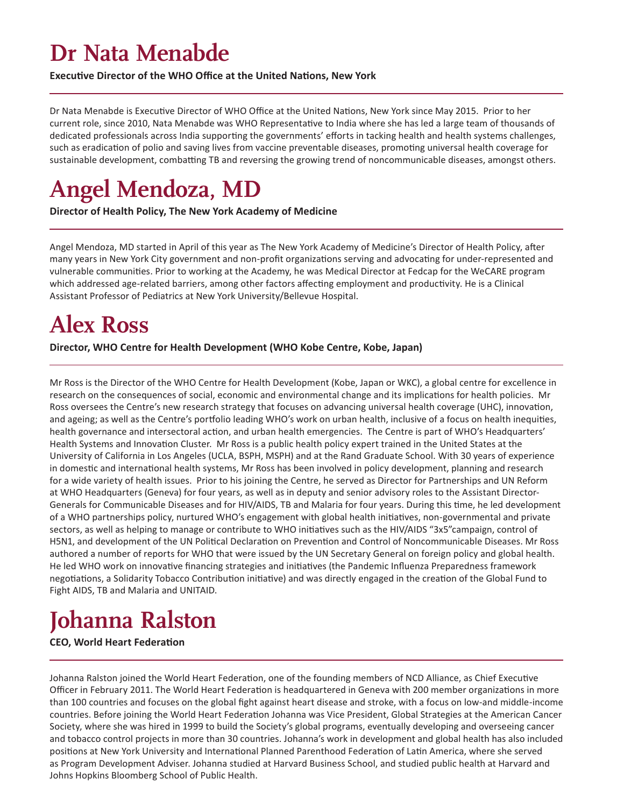#### **Dr Nata Menabde**

**Executive Director of the WHO Office at the United Nations, New York**

Dr Nata Menabde is Executive Director of WHO Office at the United Nations, New York since May 2015. Prior to her current role, since 2010, Nata Menabde was WHO Representative to India where she has led a large team of thousands of dedicated professionals across India supporting the governments' efforts in tacking health and health systems challenges, such as eradication of polio and saving lives from vaccine preventable diseases, promoting universal health coverage for sustainable development, combatting TB and reversing the growing trend of noncommunicable diseases, amongst others.

#### **Angel Mendoza, MD**

**Director of Health Policy, The New York Academy of Medicine**

Angel Mendoza, MD started in April of this year as The New York Academy of Medicine's Director of Health Policy, after many years in New York City government and non-profit organizations serving and advocating for under-represented and vulnerable communities. Prior to working at the Academy, he was Medical Director at Fedcap for the WeCARE program which addressed age-related barriers, among other factors affecting employment and productivity. He is a Clinical Assistant Professor of Pediatrics at New York University/Bellevue Hospital.

#### **Alex Ross**

**Director, WHO Centre for Health Development (WHO Kobe Centre, Kobe, Japan)**

Mr Ross is the Director of the WHO Centre for Health Development (Kobe, Japan or WKC), a global centre for excellence in research on the consequences of social, economic and environmental change and its implications for health policies. Mr Ross oversees the Centre's new research strategy that focuses on advancing universal health coverage (UHC), innovation, and ageing; as well as the Centre's portfolio leading WHO's work on urban health, inclusive of a focus on health inequities, health governance and intersectoral action, and urban health emergencies. The Centre is part of WHO's Headquarters' Health Systems and Innovation Cluster. Mr Ross is a public health policy expert trained in the United States at the University of California in Los Angeles (UCLA, BSPH, MSPH) and at the Rand Graduate School. With 30 years of experience in domestic and international health systems, Mr Ross has been involved in policy development, planning and research for a wide variety of health issues. Prior to his joining the Centre, he served as Director for Partnerships and UN Reform at WHO Headquarters (Geneva) for four years, as well as in deputy and senior advisory roles to the Assistant Director-Generals for Communicable Diseases and for HIV/AIDS, TB and Malaria for four years. During this time, he led development of a WHO partnerships policy, nurtured WHO's engagement with global health initiatives, non-governmental and private sectors, as well as helping to manage or contribute to WHO initiatives such as the HIV/AIDS "3x5"campaign, control of H5N1, and development of the UN Political Declaration on Prevention and Control of Noncommunicable Diseases. Mr Ross authored a number of reports for WHO that were issued by the UN Secretary General on foreign policy and global health. He led WHO work on innovative financing strategies and initiatives (the Pandemic Influenza Preparedness framework negotiations, a Solidarity Tobacco Contribution initiative) and was directly engaged in the creation of the Global Fund to Fight AIDS, TB and Malaria and UNITAID.

## **Johanna Ralston**

**CEO, World Heart Federation**

Johanna Ralston joined the World Heart Federation, one of the founding members of NCD Alliance, as Chief Executive Officer in February 2011. The World Heart Federation is headquartered in Geneva with 200 member organizations in more than 100 countries and focuses on the global fight against heart disease and stroke, with a focus on low-and middle-income countries. Before joining the World Heart Federation Johanna was Vice President, Global Strategies at the American Cancer Society, where she was hired in 1999 to build the Society's global programs, eventually developing and overseeing cancer and tobacco control projects in more than 30 countries. Johanna's work in development and global health has also included positions at New York University and International Planned Parenthood Federation of Latin America, where she served as Program Development Adviser. Johanna studied at Harvard Business School, and studied public health at Harvard and Johns Hopkins Bloomberg School of Public Health.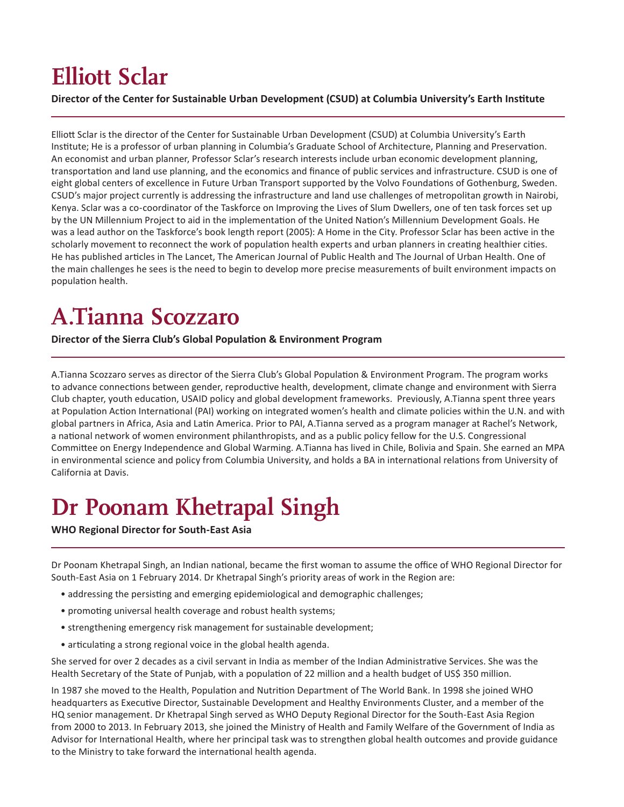# **Elliott Sclar**

**Director of the Center for Sustainable Urban Development (CSUD) at Columbia University's Earth Institute**

Elliott Sclar is the director of the Center for Sustainable Urban Development (CSUD) at Columbia University's Earth Institute; He is a professor of urban planning in Columbia's Graduate School of Architecture, Planning and Preservation. An economist and urban planner, Professor Sclar's research interests include urban economic development planning, transportation and land use planning, and the economics and finance of public services and infrastructure. CSUD is one of eight global centers of excellence in Future Urban Transport supported by the Volvo Foundations of Gothenburg, Sweden. CSUD's major project currently is addressing the infrastructure and land use challenges of metropolitan growth in Nairobi, Kenya. Sclar was a co-coordinator of the Taskforce on Improving the Lives of Slum Dwellers, one of ten task forces set up by the UN Millennium Project to aid in the implementation of the United Nation's Millennium Development Goals. He was a lead author on the Taskforce's book length report (2005): A Home in the City. Professor Sclar has been active in the scholarly movement to reconnect the work of population health experts and urban planners in creating healthier cities. He has published articles in The Lancet, The American Journal of Public Health and The Journal of Urban Health. One of the main challenges he sees is the need to begin to develop more precise measurements of built environment impacts on population health.

## **A.Tianna Scozzaro**

**Director of the Sierra Club's Global Population & Environment Program**

A.Tianna Scozzaro serves as director of the Sierra Club's Global Population & Environment Program. The program works to advance connections between gender, reproductive health, development, climate change and environment with Sierra Club chapter, youth education, USAID policy and global development frameworks. Previously, A.Tianna spent three years at Population Action International (PAI) working on integrated women's health and climate policies within the U.N. and with global partners in Africa, Asia and Latin America. Prior to PAI, A.Tianna served as a program manager at Rachel's Network, a national network of women environment philanthropists, and as a public policy fellow for the U.S. Congressional Committee on Energy Independence and Global Warming. A.Tianna has lived in Chile, Bolivia and Spain. She earned an MPA in environmental science and policy from Columbia University, and holds a BA in international relations from University of California at Davis.

## **Dr Poonam Khetrapal Singh**

#### **WHO Regional Director for South-East Asia**

Dr Poonam Khetrapal Singh, an Indian national, became the first woman to assume the office of WHO Regional Director for South-East Asia on 1 February 2014. Dr Khetrapal Singh's priority areas of work in the Region are:

- addressing the persisting and emerging epidemiological and demographic challenges;
- promoting universal health coverage and robust health systems;
- strengthening emergency risk management for sustainable development;
- articulating a strong regional voice in the global health agenda.

She served for over 2 decades as a civil servant in India as member of the Indian Administrative Services. She was the Health Secretary of the State of Punjab, with a population of 22 million and a health budget of US\$ 350 million.

In 1987 she moved to the Health, Population and Nutrition Department of The World Bank. In 1998 she joined WHO headquarters as Executive Director, Sustainable Development and Healthy Environments Cluster, and a member of the HQ senior management. Dr Khetrapal Singh served as WHO Deputy Regional Director for the South-East Asia Region from 2000 to 2013. In February 2013, she joined the Ministry of Health and Family Welfare of the Government of India as Advisor for International Health, where her principal task was to strengthen global health outcomes and provide guidance to the Ministry to take forward the international health agenda.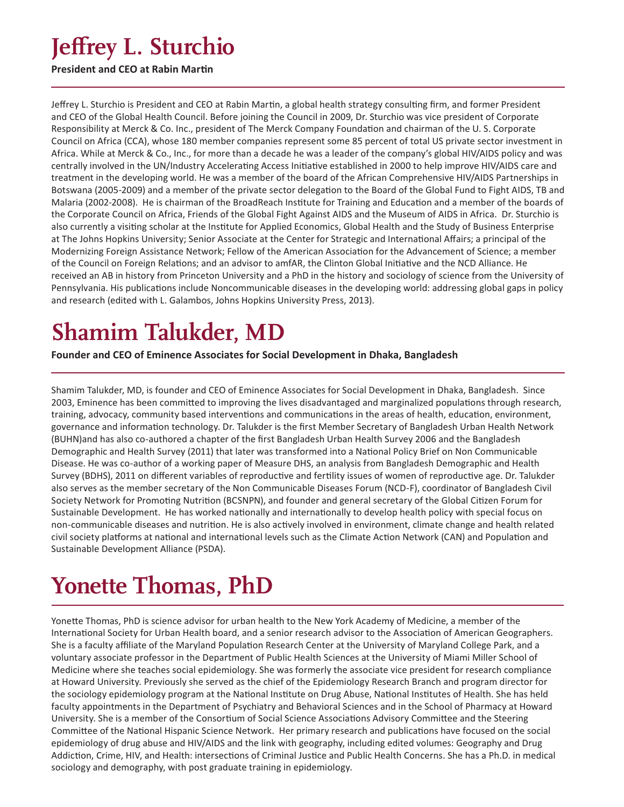### **Jeffrey L. Sturchio**

#### **President and CEO at Rabin Martin**

Jeffrey L. Sturchio is President and CEO at Rabin Martin, a global health strategy consulting firm, and former President and CEO of the Global Health Council. Before joining the Council in 2009, Dr. Sturchio was vice president of Corporate Responsibility at Merck & Co. Inc., president of The Merck Company Foundation and chairman of the U. S. Corporate Council on Africa (CCA), whose 180 member companies represent some 85 percent of total US private sector investment in Africa. While at Merck & Co., Inc., for more than a decade he was a leader of the company's global HIV/AIDS policy and was centrally involved in the UN/Industry Accelerating Access Initiative established in 2000 to help improve HIV/AIDS care and treatment in the developing world. He was a member of the board of the African Comprehensive HIV/AIDS Partnerships in Botswana (2005-2009) and a member of the private sector delegation to the Board of the Global Fund to Fight AIDS, TB and Malaria (2002-2008). He is chairman of the BroadReach Institute for Training and Education and a member of the boards of the Corporate Council on Africa, Friends of the Global Fight Against AIDS and the Museum of AIDS in Africa. Dr. Sturchio is also currently a visiting scholar at the Institute for Applied Economics, Global Health and the Study of Business Enterprise at The Johns Hopkins University; Senior Associate at the Center for Strategic and International Affairs; a principal of the Modernizing Foreign Assistance Network; Fellow of the American Association for the Advancement of Science; a member of the Council on Foreign Relations; and an advisor to amfAR, the Clinton Global Initiative and the NCD Alliance. He received an AB in history from Princeton University and a PhD in the history and sociology of science from the University of Pennsylvania. His publications include Noncommunicable diseases in the developing world: addressing global gaps in policy and research (edited with L. Galambos, Johns Hopkins University Press, 2013).

## **Shamim Talukder, MD**

**Founder and CEO of Eminence Associates for Social Development in Dhaka, Bangladesh**

Shamim Talukder, MD, is founder and CEO of Eminence Associates for Social Development in Dhaka, Bangladesh. Since 2003, Eminence has been committed to improving the lives disadvantaged and marginalized populations through research, training, advocacy, community based interventions and communications in the areas of health, education, environment, governance and information technology. Dr. Talukder is the first Member Secretary of Bangladesh Urban Health Network (BUHN)and has also co-authored a chapter of the first Bangladesh Urban Health Survey 2006 and the Bangladesh Demographic and Health Survey (2011) that later was transformed into a National Policy Brief on Non Communicable Disease. He was co-author of a working paper of Measure DHS, an analysis from Bangladesh Demographic and Health Survey (BDHS), 2011 on different variables of reproductive and fertility issues of women of reproductive age. Dr. Talukder also serves as the member secretary of the Non Communicable Diseases Forum (NCD-F), coordinator of Bangladesh Civil Society Network for Promoting Nutrition (BCSNPN), and founder and general secretary of the Global Citizen Forum for Sustainable Development. He has worked nationally and internationally to develop health policy with special focus on non-communicable diseases and nutrition. He is also actively involved in environment, climate change and health related civil society platforms at national and international levels such as the Climate Action Network (CAN) and Population and Sustainable Development Alliance (PSDA).

## **Yonette Thomas, PhD**

Yonette Thomas, PhD is science advisor for urban health to the New York Academy of Medicine, a member of the International Society for Urban Health board, and a senior research advisor to the Association of American Geographers. She is a faculty affiliate of the Maryland Population Research Center at the University of Maryland College Park, and a voluntary associate professor in the Department of Public Health Sciences at the University of Miami Miller School of Medicine where she teaches social epidemiology. She was formerly the associate vice president for research compliance at Howard University. Previously she served as the chief of the Epidemiology Research Branch and program director for the sociology epidemiology program at the National Institute on Drug Abuse, National Institutes of Health. She has held faculty appointments in the Department of Psychiatry and Behavioral Sciences and in the School of Pharmacy at Howard University. She is a member of the Consortium of Social Science Associations Advisory Committee and the Steering Committee of the National Hispanic Science Network. Her primary research and publications have focused on the social epidemiology of drug abuse and HIV/AIDS and the link with geography, including edited volumes: Geography and Drug Addiction, Crime, HIV, and Health: intersections of Criminal Justice and Public Health Concerns. She has a Ph.D. in medical sociology and demography, with post graduate training in epidemiology.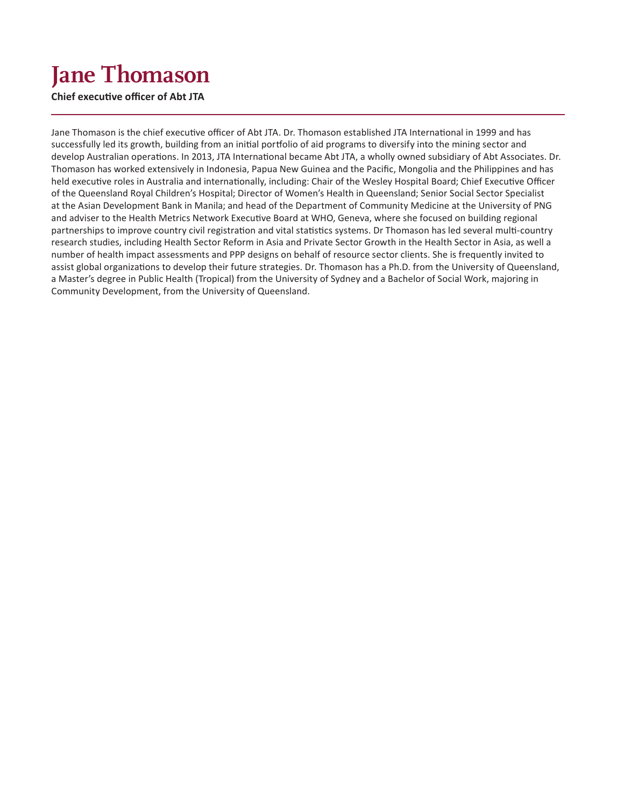# **Jane Thomason**

**Chief executive officer of Abt JTA**

Jane Thomason is the chief executive officer of Abt JTA. Dr. Thomason established JTA International in 1999 and has successfully led its growth, building from an initial portfolio of aid programs to diversify into the mining sector and develop Australian operations. In 2013, JTA International became Abt JTA, a wholly owned subsidiary of Abt Associates. Dr. Thomason has worked extensively in Indonesia, Papua New Guinea and the Pacific, Mongolia and the Philippines and has held executive roles in Australia and internationally, including: Chair of the Wesley Hospital Board; Chief Executive Officer of the Queensland Royal Children's Hospital; Director of Women's Health in Queensland; Senior Social Sector Specialist at the Asian Development Bank in Manila; and head of the Department of Community Medicine at the University of PNG and adviser to the Health Metrics Network Executive Board at WHO, Geneva, where she focused on building regional partnerships to improve country civil registration and vital statistics systems. Dr Thomason has led several multi-country research studies, including Health Sector Reform in Asia and Private Sector Growth in the Health Sector in Asia, as well a number of health impact assessments and PPP designs on behalf of resource sector clients. She is frequently invited to assist global organizations to develop their future strategies. Dr. Thomason has a Ph.D. from the University of Queensland, a Master's degree in Public Health (Tropical) from the University of Sydney and a Bachelor of Social Work, majoring in Community Development, from the University of Queensland.